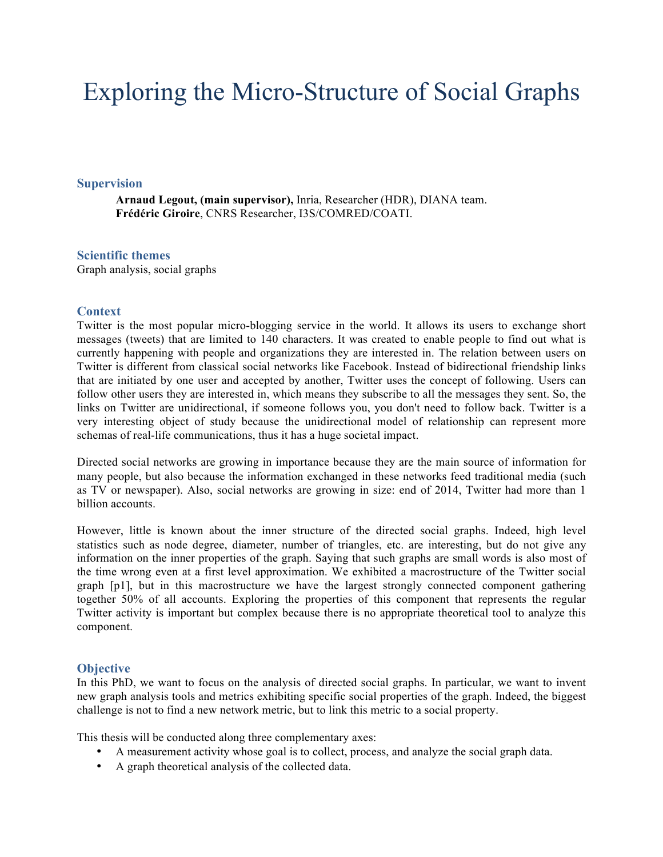# Exploring the Micro-Structure of Social Graphs

#### **Supervision**

**Arnaud Legout, (main supervisor),** Inria, Researcher (HDR), DIANA team. **Frédéric Giroire**, CNRS Researcher, I3S/COMRED/COATI.

### **Scientific themes**

Graph analysis, social graphs

## **Context**

Twitter is the most popular micro-blogging service in the world. It allows its users to exchange short messages (tweets) that are limited to 140 characters. It was created to enable people to find out what is currently happening with people and organizations they are interested in. The relation between users on Twitter is different from classical social networks like Facebook. Instead of bidirectional friendship links that are initiated by one user and accepted by another, Twitter uses the concept of following. Users can follow other users they are interested in, which means they subscribe to all the messages they sent. So, the links on Twitter are unidirectional, if someone follows you, you don't need to follow back. Twitter is a very interesting object of study because the unidirectional model of relationship can represent more schemas of real-life communications, thus it has a huge societal impact.

Directed social networks are growing in importance because they are the main source of information for many people, but also because the information exchanged in these networks feed traditional media (such as TV or newspaper). Also, social networks are growing in size: end of 2014, Twitter had more than 1 billion accounts.

However, little is known about the inner structure of the directed social graphs. Indeed, high level statistics such as node degree, diameter, number of triangles, etc. are interesting, but do not give any information on the inner properties of the graph. Saying that such graphs are small words is also most of the time wrong even at a first level approximation. We exhibited a macrostructure of the Twitter social graph [p1], but in this macrostructure we have the largest strongly connected component gathering together 50% of all accounts. Exploring the properties of this component that represents the regular Twitter activity is important but complex because there is no appropriate theoretical tool to analyze this component.

# **Objective**

In this PhD, we want to focus on the analysis of directed social graphs. In particular, we want to invent new graph analysis tools and metrics exhibiting specific social properties of the graph. Indeed, the biggest challenge is not to find a new network metric, but to link this metric to a social property.

This thesis will be conducted along three complementary axes:

- A measurement activity whose goal is to collect, process, and analyze the social graph data.
- A graph theoretical analysis of the collected data.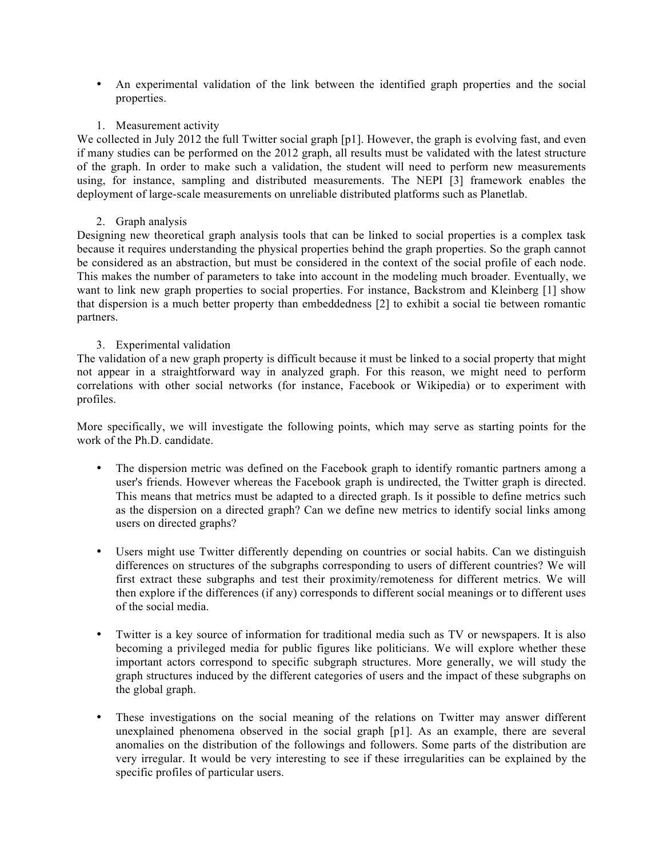- An experimental validation of the link between the identified graph properties and the social properties.
- 1. Measurement activity

We collected in July 2012 the full Twitter social graph [p1]. However, the graph is evolving fast, and even if many studies can be performed on the 2012 graph, all results must be validated with the latest structure of the graph. In order to make such a validation, the student will need to perform new measurements using, for instance, sampling and distributed measurements. The NEPI [3] framework enables the deployment of large-scale measurements on unreliable distributed platforms such as Planetlab.

# 2. Graph analysis

Designing new theoretical graph analysis tools that can be linked to social properties is a complex task because it requires understanding the physical properties behind the graph properties. So the graph cannot be considered as an abstraction, but must be considered in the context of the social profile of each node. This makes the number of parameters to take into account in the modeling much broader. Eventually, we want to link new graph properties to social properties. For instance, Backstrom and Kleinberg [1] show that dispersion is a much better property than embeddedness [2] to exhibit a social tie between romantic partners.

# 3. Experimental validation

The validation of a new graph property is difficult because it must be linked to a social property that might not appear in a straightforward way in analyzed graph. For this reason, we might need to perform correlations with other social networks (for instance, Facebook or Wikipedia) or to experiment with profiles.

More specifically, we will investigate the following points, which may serve as starting points for the work of the Ph.D. candidate.

- The dispersion metric was defined on the Facebook graph to identify romantic partners among a user's friends. However whereas the Facebook graph is undirected, the Twitter graph is directed. This means that metrics must be adapted to a directed graph. Is it possible to define metrics such as the dispersion on a directed graph? Can we define new metrics to identify social links among users on directed graphs?
- Users might use Twitter differently depending on countries or social habits. Can we distinguish differences on structures of the subgraphs corresponding to users of different countries? We will first extract these subgraphs and test their proximity/remoteness for different metrics. We will then explore if the differences (if any) corresponds to different social meanings or to different uses of the social media.
- Twitter is a key source of information for traditional media such as TV or newspapers. It is also becoming a privileged media for public figures like politicians. We will explore whether these important actors correspond to specific subgraph structures. More generally, we will study the graph structures induced by the different categories of users and the impact of these subgraphs on the global graph.
- These investigations on the social meaning of the relations on Twitter may answer different unexplained phenomena observed in the social graph [p1]. As an example, there are several anomalies on the distribution of the followings and followers. Some parts of the distribution are very irregular. It would be very interesting to see if these irregularities can be explained by the specific profiles of particular users.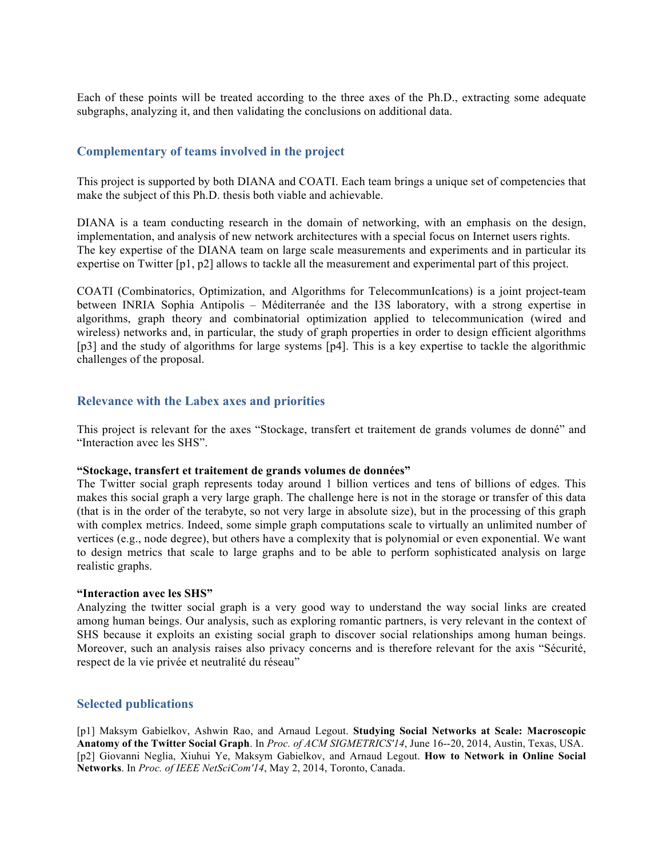Each of these points will be treated according to the three axes of the Ph.D., extracting some adequate subgraphs, analyzing it, and then validating the conclusions on additional data.

## **Complementary of teams involved in the project**

This project is supported by both DIANA and COATI. Each team brings a unique set of competencies that make the subject of this Ph.D. thesis both viable and achievable.

DIANA is a team conducting research in the domain of networking, with an emphasis on the design, implementation, and analysis of new network architectures with a special focus on Internet users rights. The key expertise of the DIANA team on large scale measurements and experiments and in particular its expertise on Twitter [p1, p2] allows to tackle all the measurement and experimental part of this project.

COATI (Combinatorics, Optimization, and Algorithms for TelecommunIcations) is a joint project-team between INRIA Sophia Antipolis – Méditerranée and the I3S laboratory, with a strong expertise in algorithms, graph theory and combinatorial optimization applied to telecommunication (wired and wireless) networks and, in particular, the study of graph properties in order to design efficient algorithms [p3] and the study of algorithms for large systems [p4]. This is a key expertise to tackle the algorithmic challenges of the proposal.

### **Relevance with the Labex axes and priorities**

This project is relevant for the axes "Stockage, transfert et traitement de grands volumes de donné" and "Interaction avec les SHS".

#### **"Stockage, transfert et traitement de grands volumes de données"**

The Twitter social graph represents today around 1 billion vertices and tens of billions of edges. This makes this social graph a very large graph. The challenge here is not in the storage or transfer of this data (that is in the order of the terabyte, so not very large in absolute size), but in the processing of this graph with complex metrics. Indeed, some simple graph computations scale to virtually an unlimited number of vertices (e.g., node degree), but others have a complexity that is polynomial or even exponential. We want to design metrics that scale to large graphs and to be able to perform sophisticated analysis on large realistic graphs.

#### **"Interaction avec les SHS"**

Analyzing the twitter social graph is a very good way to understand the way social links are created among human beings. Our analysis, such as exploring romantic partners, is very relevant in the context of SHS because it exploits an existing social graph to discover social relationships among human beings. Moreover, such an analysis raises also privacy concerns and is therefore relevant for the axis "Sécurité, respect de la vie privée et neutralité du réseau"

#### **Selected publications**

[p1] Maksym Gabielkov, Ashwin Rao, and Arnaud Legout. **Studying Social Networks at Scale: Macroscopic Anatomy of the Twitter Social Graph**. In *Proc. of ACM SIGMETRICS'14*, June 16--20, 2014, Austin, Texas, USA. [p2] Giovanni Neglia, Xiuhui Ye, Maksym Gabielkov, and Arnaud Legout. **How to Network in Online Social Networks**. In *Proc. of IEEE NetSciCom'14*, May 2, 2014, Toronto, Canada.